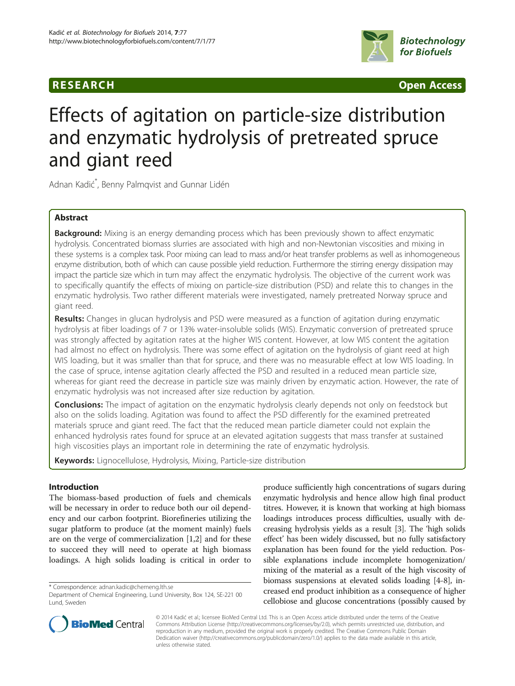## **RESEARCH RESEARCH CONSUMING ACCESS**



# Effects of agitation on particle-size distribution and enzymatic hydrolysis of pretreated spruce and giant reed

Adnan Kadić \* , Benny Palmqvist and Gunnar Lidén

## Abstract

Background: Mixing is an energy demanding process which has been previously shown to affect enzymatic hydrolysis. Concentrated biomass slurries are associated with high and non-Newtonian viscosities and mixing in these systems is a complex task. Poor mixing can lead to mass and/or heat transfer problems as well as inhomogeneous enzyme distribution, both of which can cause possible yield reduction. Furthermore the stirring energy dissipation may impact the particle size which in turn may affect the enzymatic hydrolysis. The objective of the current work was to specifically quantify the effects of mixing on particle-size distribution (PSD) and relate this to changes in the enzymatic hydrolysis. Two rather different materials were investigated, namely pretreated Norway spruce and giant reed.

Results: Changes in glucan hydrolysis and PSD were measured as a function of agitation during enzymatic hydrolysis at fiber loadings of 7 or 13% water-insoluble solids (WIS). Enzymatic conversion of pretreated spruce was strongly affected by agitation rates at the higher WIS content. However, at low WIS content the agitation had almost no effect on hydrolysis. There was some effect of agitation on the hydrolysis of giant reed at high WIS loading, but it was smaller than that for spruce, and there was no measurable effect at low WIS loading. In the case of spruce, intense agitation clearly affected the PSD and resulted in a reduced mean particle size, whereas for giant reed the decrease in particle size was mainly driven by enzymatic action. However, the rate of enzymatic hydrolysis was not increased after size reduction by agitation.

**Conclusions:** The impact of agitation on the enzymatic hydrolysis clearly depends not only on feedstock but also on the solids loading. Agitation was found to affect the PSD differently for the examined pretreated materials spruce and giant reed. The fact that the reduced mean particle diameter could not explain the enhanced hydrolysis rates found for spruce at an elevated agitation suggests that mass transfer at sustained high viscosities plays an important role in determining the rate of enzymatic hydrolysis.

Keywords: Lignocellulose, Hydrolysis, Mixing, Particle-size distribution

## Introduction

The biomass-based production of fuels and chemicals will be necessary in order to reduce both our oil dependency and our carbon footprint. Biorefineries utilizing the sugar platform to produce (at the moment mainly) fuels are on the verge of commercialization [[1,2\]](#page-8-0) and for these to succeed they will need to operate at high biomass loadings. A high solids loading is critical in order to

\* Correspondence: [adnan.kadic@chemeng.lth.se](mailto:adnan.kadic@chemeng.lth.se)

produce sufficiently high concentrations of sugars during enzymatic hydrolysis and hence allow high final product titres. However, it is known that working at high biomass loadings introduces process difficulties, usually with decreasing hydrolysis yields as a result [[3\]](#page-8-0). The 'high solids effect' has been widely discussed, but no fully satisfactory explanation has been found for the yield reduction. Possible explanations include incomplete homogenization/ mixing of the material as a result of the high viscosity of biomass suspensions at elevated solids loading [[4-8\]](#page-8-0), increased end product inhibition as a consequence of higher cellobiose and glucose concentrations (possibly caused by



© 2014 Kadić et al.; licensee BioMed Central Ltd. This is an Open Access article distributed under the terms of the Creative Commons Attribution License [\(http://creativecommons.org/licenses/by/2.0\)](http://creativecommons.org/licenses/by/2.0), which permits unrestricted use, distribution, and reproduction in any medium, provided the original work is properly credited. The Creative Commons Public Domain Dedication waiver [\(http://creativecommons.org/publicdomain/zero/1.0/](http://creativecommons.org/publicdomain/zero/1.0/)) applies to the data made available in this article, unless otherwise stated.

Department of Chemical Engineering, Lund University, Box 124, SE-221 00 Lund, Sweden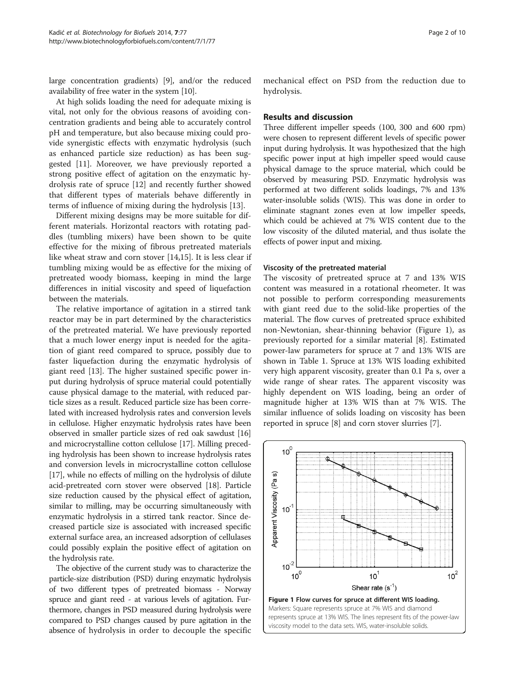large concentration gradients) [[9](#page-8-0)], and/or the reduced availability of free water in the system [[10](#page-9-0)].

At high solids loading the need for adequate mixing is vital, not only for the obvious reasons of avoiding concentration gradients and being able to accurately control pH and temperature, but also because mixing could provide synergistic effects with enzymatic hydrolysis (such as enhanced particle size reduction) as has been suggested [[11\]](#page-9-0). Moreover, we have previously reported a strong positive effect of agitation on the enzymatic hydrolysis rate of spruce [\[12\]](#page-9-0) and recently further showed that different types of materials behave differently in terms of influence of mixing during the hydrolysis [[13](#page-9-0)].

Different mixing designs may be more suitable for different materials. Horizontal reactors with rotating paddles (tumbling mixers) have been shown to be quite effective for the mixing of fibrous pretreated materials like wheat straw and corn stover [\[14,15](#page-9-0)]. It is less clear if tumbling mixing would be as effective for the mixing of pretreated woody biomass, keeping in mind the large differences in initial viscosity and speed of liquefaction between the materials.

The relative importance of agitation in a stirred tank reactor may be in part determined by the characteristics of the pretreated material. We have previously reported that a much lower energy input is needed for the agitation of giant reed compared to spruce, possibly due to faster liquefaction during the enzymatic hydrolysis of giant reed [\[13](#page-9-0)]. The higher sustained specific power input during hydrolysis of spruce material could potentially cause physical damage to the material, with reduced particle sizes as a result. Reduced particle size has been correlated with increased hydrolysis rates and conversion levels in cellulose. Higher enzymatic hydrolysis rates have been observed in smaller particle sizes of red oak sawdust [[16](#page-9-0)] and microcrystalline cotton cellulose [[17](#page-9-0)]. Milling preceding hydrolysis has been shown to increase hydrolysis rates and conversion levels in microcrystalline cotton cellulose [[17](#page-9-0)], while no effects of milling on the hydrolysis of dilute acid-pretreated corn stover were observed [\[18\]](#page-9-0). Particle size reduction caused by the physical effect of agitation, similar to milling, may be occurring simultaneously with enzymatic hydrolysis in a stirred tank reactor. Since decreased particle size is associated with increased specific external surface area, an increased adsorption of cellulases could possibly explain the positive effect of agitation on the hydrolysis rate.

The objective of the current study was to characterize the particle-size distribution (PSD) during enzymatic hydrolysis of two different types of pretreated biomass - Norway spruce and giant reed - at various levels of agitation. Furthermore, changes in PSD measured during hydrolysis were compared to PSD changes caused by pure agitation in the absence of hydrolysis in order to decouple the specific

mechanical effect on PSD from the reduction due to hydrolysis.

#### Results and discussion

Three different impeller speeds (100, 300 and 600 rpm) were chosen to represent different levels of specific power input during hydrolysis. It was hypothesized that the high specific power input at high impeller speed would cause physical damage to the spruce material, which could be observed by measuring PSD. Enzymatic hydrolysis was performed at two different solids loadings, 7% and 13% water-insoluble solids (WIS). This was done in order to eliminate stagnant zones even at low impeller speeds, which could be achieved at 7% WIS content due to the low viscosity of the diluted material, and thus isolate the effects of power input and mixing.

#### Viscosity of the pretreated material

The viscosity of pretreated spruce at 7 and 13% WIS content was measured in a rotational rheometer. It was not possible to perform corresponding measurements with giant reed due to the solid-like properties of the material. The flow curves of pretreated spruce exhibited non-Newtonian, shear-thinning behavior (Figure 1), as previously reported for a similar material [\[8](#page-8-0)]. Estimated power-law parameters for spruce at 7 and 13% WIS are shown in Table [1.](#page-2-0) Spruce at 13% WIS loading exhibited very high apparent viscosity, greater than 0.1 Pa s, over a wide range of shear rates. The apparent viscosity was highly dependent on WIS loading, being an order of magnitude higher at 13% WIS than at 7% WIS. The similar influence of solids loading on viscosity has been reported in spruce [\[8](#page-8-0)] and corn stover slurries [\[7](#page-8-0)].

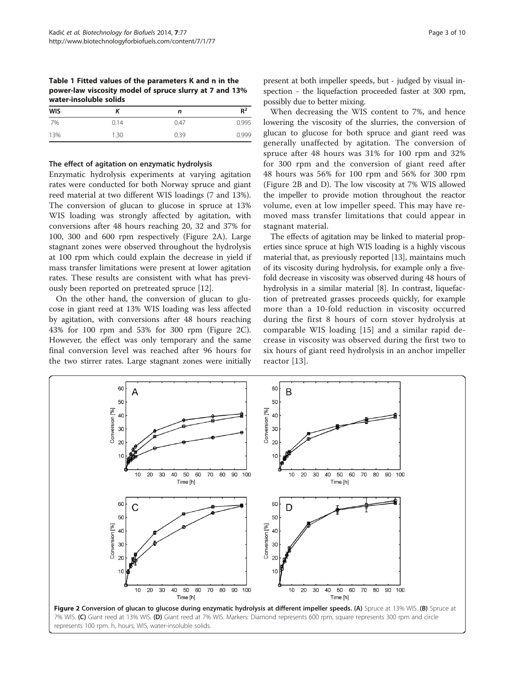<span id="page-2-0"></span>Table 1 Fitted values of the parameters K and n in the power-law viscosity model of spruce slurry at 7 and 13% water-insoluble solids

| <b>WIS</b> |      | n    | $R^2$ |  |
|------------|------|------|-------|--|
| 7%         | 0.14 | 0.47 | 0.995 |  |
| 13%        | 1.30 | 0.39 | 0.999 |  |

#### The effect of agitation on enzymatic hydrolysis

Enzymatic hydrolysis experiments at varying agitation rates were conducted for both Norway spruce and giant reed material at two different WIS loadings (7 and 13%). The conversion of glucan to glucose in spruce at 13% WIS loading was strongly affected by agitation, with conversions after 48 hours reaching 20, 32 and 37% for 100, 300 and 600 rpm respectively (Figure 2A). Large stagnant zones were observed throughout the hydrolysis at 100 rpm which could explain the decrease in yield if mass transfer limitations were present at lower agitation rates. These results are consistent with what has previously been reported on pretreated spruce [[12\]](#page-9-0).

On the other hand, the conversion of glucan to glucose in giant reed at 13% WIS loading was less affected by agitation, with conversions after 48 hours reaching 43% for 100 rpm and 53% for 300 rpm (Figure 2C). However, the effect was only temporary and the same final conversion level was reached after 96 hours for the two stirrer rates. Large stagnant zones were initially

60

50

Δ

When decreasing the WIS content to 7%, and hence lowering the viscosity of the slurries, the conversion of glucan to glucose for both spruce and giant reed was generally unaffected by agitation. The conversion of spruce after 48 hours was 31% for 100 rpm and 32% for 300 rpm and the conversion of giant reed after 48 hours was 56% for 100 rpm and 56% for 300 rpm (Figure 2B and D). The low viscosity at 7% WIS allowed the impeller to provide motion throughout the reactor volume, even at low impeller speed. This may have removed mass transfer limitations that could appear in stagnant material.

The effects of agitation may be linked to material properties since spruce at high WIS loading is a highly viscous material that, as previously reported [\[13\]](#page-9-0), maintains much of its viscosity during hydrolysis, for example only a fivefold decrease in viscosity was observed during 48 hours of hydrolysis in a similar material [\[8](#page-8-0)]. In contrast, liquefaction of pretreated grasses proceeds quickly, for example more than a 10-fold reduction in viscosity occurred during the first 8 hours of corn stover hydrolysis at comparable WIS loading [[15\]](#page-9-0) and a similar rapid decrease in viscosity was observed during the first two to six hours of giant reed hydrolysis in an anchor impeller reactor [[13](#page-9-0)].



60

B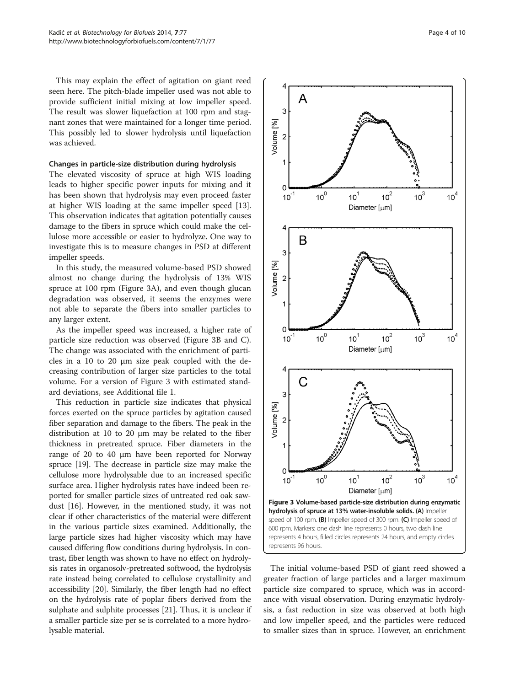This may explain the effect of agitation on giant reed seen here. The pitch-blade impeller used was not able to provide sufficient initial mixing at low impeller speed. The result was slower liquefaction at 100 rpm and stagnant zones that were maintained for a longer time period. This possibly led to slower hydrolysis until liquefaction was achieved.

#### Changes in particle-size distribution during hydrolysis

The elevated viscosity of spruce at high WIS loading leads to higher specific power inputs for mixing and it has been shown that hydrolysis may even proceed faster at higher WIS loading at the same impeller speed [[13](#page-9-0)]. This observation indicates that agitation potentially causes damage to the fibers in spruce which could make the cellulose more accessible or easier to hydrolyze. One way to investigate this is to measure changes in PSD at different impeller speeds.

In this study, the measured volume-based PSD showed almost no change during the hydrolysis of 13% WIS spruce at 100 rpm (Figure 3A), and even though glucan degradation was observed, it seems the enzymes were not able to separate the fibers into smaller particles to any larger extent.

As the impeller speed was increased, a higher rate of particle size reduction was observed (Figure 3B and C). The change was associated with the enrichment of particles in a 10 to 20  $\mu$ m size peak coupled with the decreasing contribution of larger size particles to the total volume. For a version of Figure 3 with estimated standard deviations, see Additional file [1](#page-8-0).

This reduction in particle size indicates that physical forces exerted on the spruce particles by agitation caused fiber separation and damage to the fibers. The peak in the distribution at 10 to 20 μm may be related to the fiber thickness in pretreated spruce. Fiber diameters in the range of 20 to 40 μm have been reported for Norway spruce [\[19\]](#page-9-0). The decrease in particle size may make the cellulose more hydrolysable due to an increased specific surface area. Higher hydrolysis rates have indeed been reported for smaller particle sizes of untreated red oak sawdust [\[16](#page-9-0)]. However, in the mentioned study, it was not clear if other characteristics of the material were different in the various particle sizes examined. Additionally, the large particle sizes had higher viscosity which may have caused differing flow conditions during hydrolysis. In contrast, fiber length was shown to have no effect on hydrolysis rates in organosolv-pretreated softwood, the hydrolysis rate instead being correlated to cellulose crystallinity and accessibility [\[20\]](#page-9-0). Similarly, the fiber length had no effect on the hydrolysis rate of poplar fibers derived from the sulphate and sulphite processes [\[21\]](#page-9-0). Thus, it is unclear if a smaller particle size per se is correlated to a more hydrolysable material.



The initial volume-based PSD of giant reed showed a greater fraction of large particles and a larger maximum particle size compared to spruce, which was in accordance with visual observation. During enzymatic hydrolysis, a fast reduction in size was observed at both high and low impeller speed, and the particles were reduced to smaller sizes than in spruce. However, an enrichment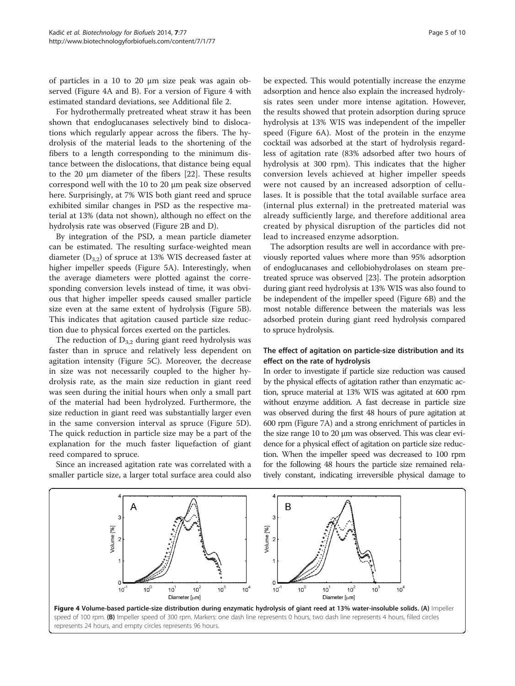of particles in a 10 to 20 μm size peak was again observed (Figure 4A and B). For a version of Figure 4 with estimated standard deviations, see Additional file [2](#page-8-0).

For hydrothermally pretreated wheat straw it has been shown that endoglucanases selectively bind to dislocations which regularly appear across the fibers. The hydrolysis of the material leads to the shortening of the fibers to a length corresponding to the minimum distance between the dislocations, that distance being equal to the 20 μm diameter of the fibers [\[22](#page-9-0)]. These results correspond well with the 10 to 20 μm peak size observed here. Surprisingly, at 7% WIS both giant reed and spruce exhibited similar changes in PSD as the respective material at 13% (data not shown), although no effect on the hydrolysis rate was observed (Figure [2](#page-2-0)B and D).

By integration of the PSD, a mean particle diameter can be estimated. The resulting surface-weighted mean diameter  $(D_{3,2})$  of spruce at 13% WIS decreased faster at higher impeller speeds (Figure [5](#page-5-0)A). Interestingly, when the average diameters were plotted against the corresponding conversion levels instead of time, it was obvious that higher impeller speeds caused smaller particle size even at the same extent of hydrolysis (Figure [5](#page-5-0)B). This indicates that agitation caused particle size reduction due to physical forces exerted on the particles.

The reduction of  $D_{3,2}$  during giant reed hydrolysis was faster than in spruce and relatively less dependent on agitation intensity (Figure [5](#page-5-0)C). Moreover, the decrease in size was not necessarily coupled to the higher hydrolysis rate, as the main size reduction in giant reed was seen during the initial hours when only a small part of the material had been hydrolyzed. Furthermore, the size reduction in giant reed was substantially larger even in the same conversion interval as spruce (Figure [5](#page-5-0)D). The quick reduction in particle size may be a part of the explanation for the much faster liquefaction of giant reed compared to spruce.

Since an increased agitation rate was correlated with a smaller particle size, a larger total surface area could also

be expected. This would potentially increase the enzyme adsorption and hence also explain the increased hydrolysis rates seen under more intense agitation. However, the results showed that protein adsorption during spruce hydrolysis at 13% WIS was independent of the impeller speed (Figure [6A](#page-5-0)). Most of the protein in the enzyme cocktail was adsorbed at the start of hydrolysis regardless of agitation rate (83% adsorbed after two hours of hydrolysis at 300 rpm). This indicates that the higher conversion levels achieved at higher impeller speeds were not caused by an increased adsorption of cellulases. It is possible that the total available surface area (internal plus external) in the pretreated material was already sufficiently large, and therefore additional area created by physical disruption of the particles did not lead to increased enzyme adsorption.

The adsorption results are well in accordance with previously reported values where more than 95% adsorption of endoglucanases and cellobiohydrolases on steam pretreated spruce was observed [\[23\]](#page-9-0). The protein adsorption during giant reed hydrolysis at 13% WIS was also found to be independent of the impeller speed (Figure [6B](#page-5-0)) and the most notable difference between the materials was less adsorbed protein during giant reed hydrolysis compared to spruce hydrolysis.

### The effect of agitation on particle-size distribution and its effect on the rate of hydrolysis

In order to investigate if particle size reduction was caused by the physical effects of agitation rather than enzymatic action, spruce material at 13% WIS was agitated at 600 rpm without enzyme addition. A fast decrease in particle size was observed during the first 48 hours of pure agitation at 600 rpm (Figure [7](#page-6-0)A) and a strong enrichment of particles in the size range 10 to 20 μm was observed. This was clear evidence for a physical effect of agitation on particle size reduction. When the impeller speed was decreased to 100 rpm for the following 48 hours the particle size remained relatively constant, indicating irreversible physical damage to

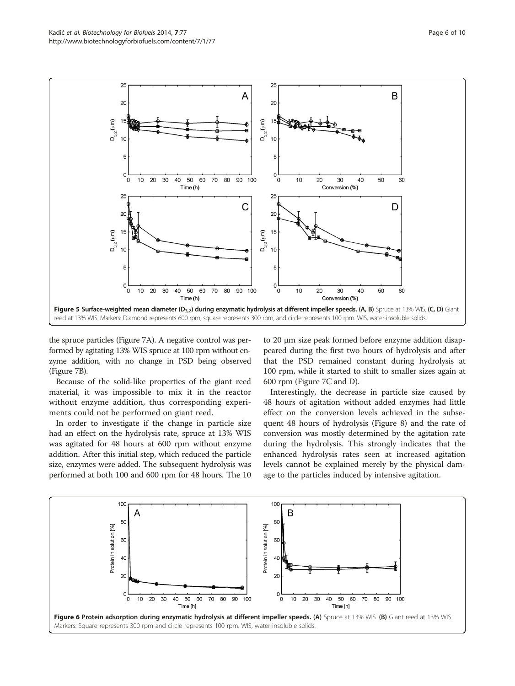<span id="page-5-0"></span>

the spruce particles (Figure [7A](#page-6-0)). A negative control was performed by agitating 13% WIS spruce at 100 rpm without enzyme addition, with no change in PSD being observed (Figure [7](#page-6-0)B).

Because of the solid-like properties of the giant reed material, it was impossible to mix it in the reactor without enzyme addition, thus corresponding experiments could not be performed on giant reed.

In order to investigate if the change in particle size had an effect on the hydrolysis rate, spruce at 13% WIS was agitated for 48 hours at 600 rpm without enzyme addition. After this initial step, which reduced the particle size, enzymes were added. The subsequent hydrolysis was performed at both 100 and 600 rpm for 48 hours. The 10 to 20 μm size peak formed before enzyme addition disappeared during the first two hours of hydrolysis and after that the PSD remained constant during hydrolysis at 100 rpm, while it started to shift to smaller sizes again at 600 rpm (Figure [7](#page-6-0)C and D).

Interestingly, the decrease in particle size caused by 48 hours of agitation without added enzymes had little effect on the conversion levels achieved in the subsequent 48 hours of hydrolysis (Figure [8\)](#page-6-0) and the rate of conversion was mostly determined by the agitation rate during the hydrolysis. This strongly indicates that the enhanced hydrolysis rates seen at increased agitation levels cannot be explained merely by the physical damage to the particles induced by intensive agitation.

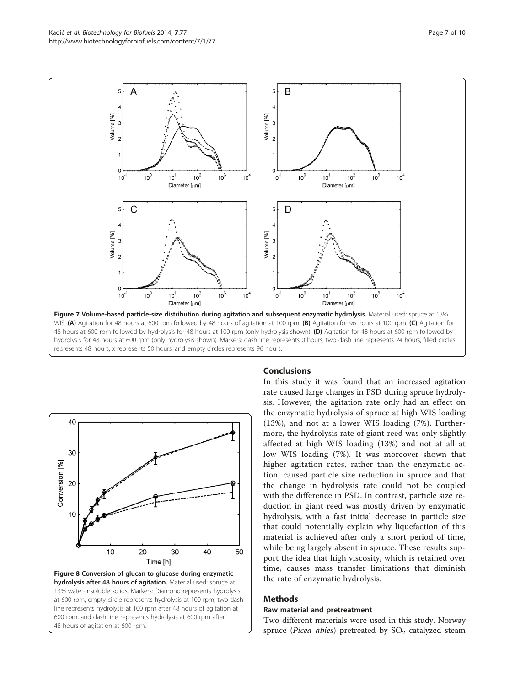<span id="page-6-0"></span>



## Conclusions

In this study it was found that an increased agitation rate caused large changes in PSD during spruce hydrolysis. However, the agitation rate only had an effect on the enzymatic hydrolysis of spruce at high WIS loading (13%), and not at a lower WIS loading (7%). Furthermore, the hydrolysis rate of giant reed was only slightly affected at high WIS loading (13%) and not at all at low WIS loading (7%). It was moreover shown that higher agitation rates, rather than the enzymatic action, caused particle size reduction in spruce and that the change in hydrolysis rate could not be coupled with the difference in PSD. In contrast, particle size reduction in giant reed was mostly driven by enzymatic hydrolysis, with a fast initial decrease in particle size that could potentially explain why liquefaction of this material is achieved after only a short period of time, while being largely absent in spruce. These results support the idea that high viscosity, which is retained over time, causes mass transfer limitations that diminish the rate of enzymatic hydrolysis.

## Methods

#### Raw material and pretreatment

Two different materials were used in this study. Norway spruce (Picea abies) pretreated by  $SO_2$  catalyzed steam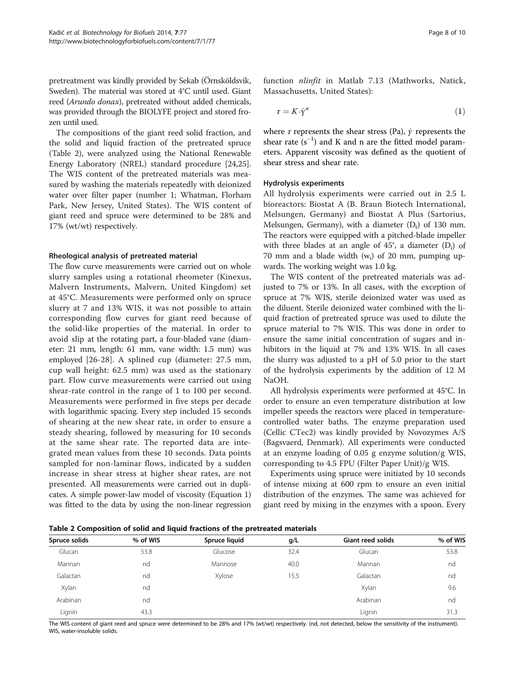pretreatment was kindly provided by Sekab (Örnsköldsvik, Sweden). The material was stored at 4°C until used. Giant reed (Arundo donax), pretreated without added chemicals, was provided through the BIOLYFE project and stored frozen until used.

The compositions of the giant reed solid fraction, and the solid and liquid fraction of the pretreated spruce (Table 2), were analyzed using the National Renewable Energy Laboratory (NREL) standard procedure [\[24,25](#page-9-0)]. The WIS content of the pretreated materials was measured by washing the materials repeatedly with deionized water over filter paper (number 1; Whatman, Florham Park, New Jersey, United States). The WIS content of giant reed and spruce were determined to be 28% and 17% (wt/wt) respectively.

#### Rheological analysis of pretreated material

The flow curve measurements were carried out on whole slurry samples using a rotational rheometer (Kinexus, Malvern Instruments, Malvern, United Kingdom) set at 45°C. Measurements were performed only on spruce slurry at 7 and 13% WIS, it was not possible to attain corresponding flow curves for giant reed because of the solid-like properties of the material. In order to avoid slip at the rotating part, a four-bladed vane (diameter: 21 mm, length: 61 mm, vane width: 1.5 mm) was employed [[26-28\]](#page-9-0). A splined cup (diameter: 27.5 mm, cup wall height: 62.5 mm) was used as the stationary part. Flow curve measurements were carried out using shear-rate control in the range of 1 to 100 per second. Measurements were performed in five steps per decade with logarithmic spacing. Every step included 15 seconds of shearing at the new shear rate, in order to ensure a steady shearing, followed by measuring for 10 seconds at the same shear rate. The reported data are integrated mean values from these 10 seconds. Data points sampled for non-laminar flows, indicated by a sudden increase in shear stress at higher shear rates, are not presented. All measurements were carried out in duplicates. A simple power-law model of viscosity (Equation 1) was fitted to the data by using the non-linear regression function nlinfit in Matlab 7.13 (Mathworks, Natick, Massachusetts, United States):

$$
\tau = K \cdot \dot{\gamma}^n \tag{1}
$$

where  $\tau$  represents the shear stress (Pa),  $\dot{\gamma}$  represents the shear rate  $(s^{-1})$  and K and n are the fitted model parameters. Apparent viscosity was defined as the quotient of shear stress and shear rate.

#### Hydrolysis experiments

All hydrolysis experiments were carried out in 2.5 L bioreactors: Biostat A (B. Braun Biotech International, Melsungen, Germany) and Biostat A Plus (Sartorius, Melsungen, Germany), with a diameter  $(D_t)$  of 130 mm. The reactors were equipped with a pitched-blade impeller with three blades at an angle of  $45^{\circ}$ , a diameter (D<sub>i</sub>) of 70 mm and a blade width  $(w_i)$  of 20 mm, pumping upwards. The working weight was 1.0 kg.

The WIS content of the pretreated materials was adjusted to 7% or 13%. In all cases, with the exception of spruce at 7% WIS, sterile deionized water was used as the diluent. Sterile deionized water combined with the liquid fraction of pretreated spruce was used to dilute the spruce material to 7% WIS. This was done in order to ensure the same initial concentration of sugars and inhibitors in the liquid at 7% and 13% WIS. In all cases the slurry was adjusted to a pH of 5.0 prior to the start of the hydrolysis experiments by the addition of 12 M NaOH.

All hydrolysis experiments were performed at 45°C. In order to ensure an even temperature distribution at low impeller speeds the reactors were placed in temperaturecontrolled water baths. The enzyme preparation used (Cellic CTec2) was kindly provided by Novozymes A/S (Bagsvaerd, Denmark). All experiments were conducted at an enzyme loading of 0.05 g enzyme solution/g WIS, corresponding to 4.5 FPU (Filter Paper Unit)/g WIS.

Experiments using spruce were initiated by 10 seconds of intense mixing at 600 rpm to ensure an even initial distribution of the enzymes. The same was achieved for giant reed by mixing in the enzymes with a spoon. Every

Table 2 Composition of solid and liquid fractions of the pretreated materials

| Spruce solids | % of WIS | Spruce liquid | g/L  | <b>Giant reed solids</b> | % of WIS |  |  |
|---------------|----------|---------------|------|--------------------------|----------|--|--|
| Glucan        | 53.8     | Glucose       | 32.4 | Glucan                   | 53.8     |  |  |
| Mannan        | nd       | Mannose       | 40.0 | Mannan                   | nd       |  |  |
| Galactan      | nd       | Xylose        | 15.5 | Galactan                 | nd       |  |  |
| Xylan         | nd       |               |      | Xylan                    | 9.6      |  |  |
| Arabinan      | nd       |               |      | Arabinan                 | nd       |  |  |
| Lignin        | 43.3     |               |      | Lignin                   | 31.3     |  |  |
|               |          |               |      |                          |          |  |  |

The WIS content of giant reed and spruce were determined to be 28% and 17% (wt/wt) respectively. (nd, not detected, below the sensitivity of the instrument). WIS, water-insoluble solids.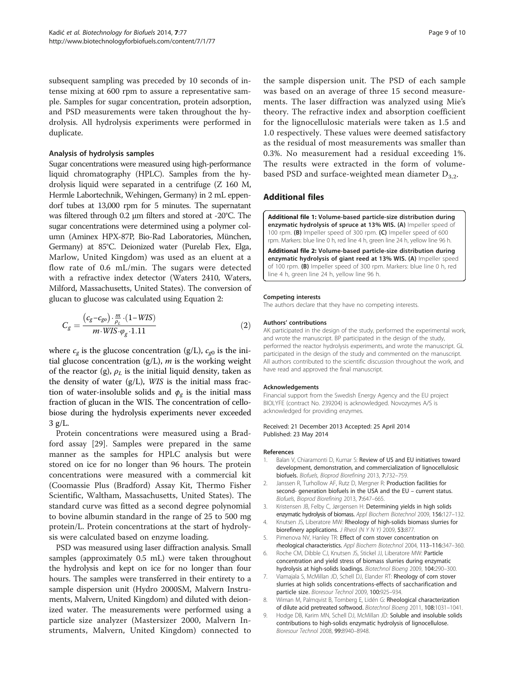<span id="page-8-0"></span>subsequent sampling was preceded by 10 seconds of intense mixing at 600 rpm to assure a representative sample. Samples for sugar concentration, protein adsorption, and PSD measurements were taken throughout the hydrolysis. All hydrolysis experiments were performed in duplicate.

#### Analysis of hydrolysis samples

Sugar concentrations were measured using high-performance liquid chromatography (HPLC). Samples from the hydrolysis liquid were separated in a centrifuge (Z 160 M, Hermle Labortechnik, Wehingen, Germany) in 2 mL eppendorf tubes at 13,000 rpm for 5 minutes. The supernatant was filtered through 0.2 μm filters and stored at -20°C. The sugar concentrations were determined using a polymer column (Aminex HPX-87P, Bio-Rad Laboratories, München, Germany) at 85°C. Deionized water (Purelab Flex, Elga, Marlow, United Kingdom) was used as an eluent at a flow rate of 0.6 mL/min. The sugars were detected with a refractive index detector (Waters 2410, Waters, Milford, Massachusetts, United States). The conversion of glucan to glucose was calculated using Equation 2:

$$
C_g = \frac{(c_g - c_{go}) \cdot \frac{m}{\rho_L} \cdot (1 - WIS)}{m \cdot WIS \cdot \varphi_g \cdot 1.11}
$$
\n(2)

where  $c_{\varrho}$  is the glucose concentration (g/L),  $c_{\varrho 0}$  is the initial glucose concentration  $(g/L)$ , *m* is the working weight of the reactor (g),  $\rho_L$  is the initial liquid density, taken as the density of water  $(g/L)$ , WIS is the initial mass fraction of water-insoluble solids and  $\phi_{\varrho}$  is the initial mass fraction of glucan in the WIS. The concentration of cellobiose during the hydrolysis experiments never exceeded  $3$  g/L.

Protein concentrations were measured using a Bradford assay [\[29](#page-9-0)]. Samples were prepared in the same manner as the samples for HPLC analysis but were stored on ice for no longer than 96 hours. The protein concentrations were measured with a commercial kit (Coomassie Plus (Bradford) Assay Kit, Thermo Fisher Scientific, Waltham, Massachusetts, United States). The standard curve was fitted as a second degree polynomial to bovine albumin standard in the range of 25 to 500 mg protein/L. Protein concentrations at the start of hydrolysis were calculated based on enzyme loading.

PSD was measured using laser diffraction analysis. Small samples (approximately 0.5 mL) were taken throughout the hydrolysis and kept on ice for no longer than four hours. The samples were transferred in their entirety to a sample dispersion unit (Hydro 2000SM, Malvern Instruments, Malvern, United Kingdom) and diluted with deionized water. The measurements were performed using a particle size analyzer (Mastersizer 2000, Malvern Instruments, Malvern, United Kingdom) connected to

the sample dispersion unit. The PSD of each sample was based on an average of three 15 second measurements. The laser diffraction was analyzed using Mie's theory. The refractive index and absorption coefficient for the lignocellulosic materials were taken as 1.5 and 1.0 respectively. These values were deemed satisfactory as the residual of most measurements was smaller than 0.3%. No measurement had a residual exceeding 1%. The results were extracted in the form of volumebased PSD and surface-weighted mean diameter  $D_{3,2}$ .

#### Additional files

[Additional file 1:](http://www.biomedcentral.com/content/supplementary/1754-6834-7-77-S1.pdf) Volume-based particle-size distribution during enzymatic hydrolysis of spruce at 13% WIS. (A) Impeller speed of 100 rpm. (B) Impeller speed of 300 rpm. (C) Impeller speed of 600 rpm. Markers: blue line 0 h, red line 4 h, green line 24 h, yellow line 96 h.

[Additional file 2:](http://www.biomedcentral.com/content/supplementary/1754-6834-7-77-S2.pdf) Volume-based particle-size distribution during enzymatic hydrolysis of giant reed at 13% WIS. (A) Impeller speed of 100 rpm. (B) Impeller speed of 300 rpm. Markers: blue line 0 h, red line 4 h, green line 24 h, yellow line 96 h.

#### Competing interests

The authors declare that they have no competing interests.

#### Authors' contributions

AK participated in the design of the study, performed the experimental work, and wrote the manuscript. BP participated in the design of the study, performed the reactor hydrolysis experiments, and wrote the manuscript. GL participated in the design of the study and commented on the manuscript. All authors contributed to the scientific discussion throughout the work, and have read and approved the final manuscript.

#### Acknowledgements

Financial support from the Swedish Energy Agency and the EU project BIOLYFE (contract No. 239204) is acknowledged. Novozymes A/S is acknowledged for providing enzymes.

#### Received: 21 December 2013 Accepted: 25 April 2014 Published: 23 May 2014

#### References

- 1. Balan V, Chiaramonti D, Kumar S: Review of US and EU initiatives toward development, demonstration, and commercialization of lignocellulosic biofuels. Biofuels, Bioprod Biorefining 2013, 7:732–759.
- 2. Janssen R, Turhollow AF, Rutz D, Mergner R: Production facilities for second- generation biofuels in the USA and the EU – current status. Biofuels, Bioprod Biorefining 2013, 7:647–665.
- 3. Kristensen JB, Felby C, Jørgensen H: Determining yields in high solids enzymatic hydrolysis of biomass. Appl Biochem Biotechnol 2009, 156:127–132.
- 4. Knutsen JS, Liberatore MW: Rheology of high-solids biomass slurries for biorefinery applications. J Rheol (N Y N Y) 2009, 53:877
- 5. Pimenova NV, Hanley TR: Effect of corn stover concentration on rheological characteristics. Appl Biochem Biotechnol 2004, 113–116:347–360.
- 6. Roche CM, Dibble CJ, Knutsen JS, Stickel JJ, Liberatore MW: Particle concentration and yield stress of biomass slurries during enzymatic hydrolysis at high-solids loadings. Biotechnol Bioeng 2009, 104:290–300.
- 7. Viamajala S, McMillan JD, Schell DJ, Elander RT: Rheology of corn stover slurries at high solids concentrations-effects of saccharification and particle size. Bioresour Technol 2009, 100:925–934.
- 8. Wiman M, Palmqvist B, Tornberg E, Lidén G: Rheological characterization of dilute acid pretreated softwood. Biotechnol Bioeng 2011, 108:1031–1041.
- 9. Hodge DB, Karim MN, Schell DJ, McMillan JD: Soluble and insoluble solids contributions to high-solids enzymatic hydrolysis of lignocellulose. Bioresour Technol 2008, 99:8940–8948.